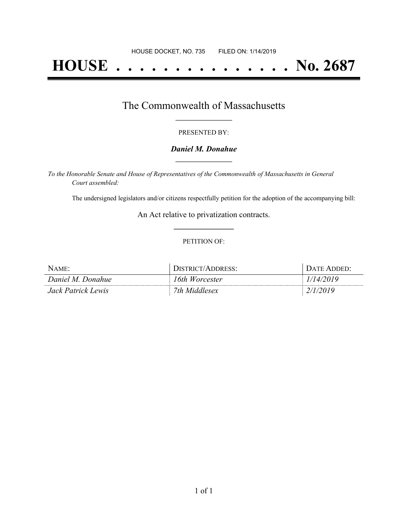# **HOUSE . . . . . . . . . . . . . . . No. 2687**

## The Commonwealth of Massachusetts **\_\_\_\_\_\_\_\_\_\_\_\_\_\_\_\_\_**

#### PRESENTED BY:

#### *Daniel M. Donahue* **\_\_\_\_\_\_\_\_\_\_\_\_\_\_\_\_\_**

*To the Honorable Senate and House of Representatives of the Commonwealth of Massachusetts in General Court assembled:*

The undersigned legislators and/or citizens respectfully petition for the adoption of the accompanying bill:

An Act relative to privatization contracts. **\_\_\_\_\_\_\_\_\_\_\_\_\_\_\_**

#### PETITION OF:

| NAME:              | DISTRICT/ADDRESS: | DATE ADDED: |
|--------------------|-------------------|-------------|
| Daniel M. Donahue  | 16th Worcester    | 1/14/2019   |
| Jack Patrick Lewis | 7th Middlesex     | 2/1/2019    |